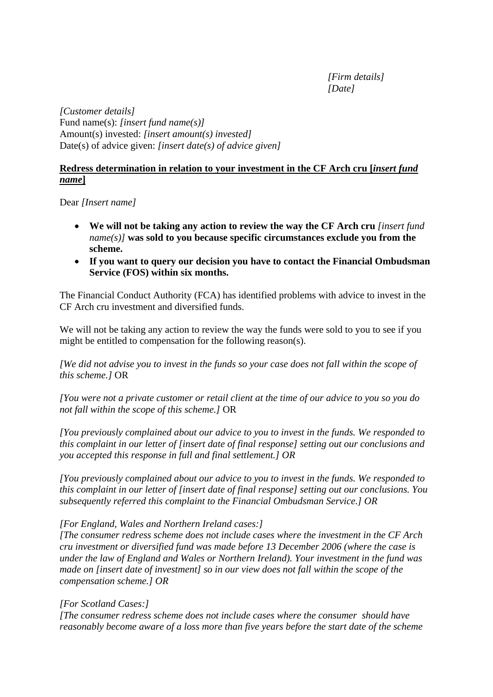*[Firm details] [Date]* 

*[Customer details]*  Fund name(s): *[insert fund name(s)]*  Amount(s) invested: *[insert amount(s) invested]*  Date(s) of advice given: *[insert date(s) of advice given]* 

### **Redress determination in relation to your investment in the CF Arch cru [***insert fund name***]**

Dear *[Insert name]* 

- **We will not be taking any action to review the way the CF Arch cru** *[insert fund name(s)]* **was sold to you because specific circumstances exclude you from the scheme.**
- **If you want to query our decision you have to contact the Financial Ombudsman Service (FOS) within six months.**

The Financial Conduct Authority (FCA) has identified problems with advice to invest in the CF Arch cru investment and diversified funds.

We will not be taking any action to review the way the funds were sold to you to see if you might be entitled to compensation for the following reason(s).

*[We did not advise you to invest in the funds so your case does not fall within the scope of this scheme.]* OR

*[You were not a private customer or retail client at the time of our advice to you so you do not fall within the scope of this scheme.]* OR

*[You previously complained about our advice to you to invest in the funds. We responded to this complaint in our letter of [insert date of final response] setting out our conclusions and you accepted this response in full and final settlement.] OR* 

*[You previously complained about our advice to you to invest in the funds. We responded to this complaint in our letter of [insert date of final response] setting out our conclusions. You subsequently referred this complaint to the Financial Ombudsman Service.] OR* 

# *[For England, Wales and Northern Ireland cases:]*

*[The consumer redress scheme does not include cases where the investment in the CF Arch cru investment or diversified fund was made before 13 December 2006 (where the case is under the law of England and Wales or Northern Ireland). Your investment in the fund was made on [insert date of investment] so in our view does not fall within the scope of the compensation scheme.] OR* 

# *[For Scotland Cases:]*

*[The consumer redress scheme does not include cases where the consumer should have reasonably become aware of a loss more than five years before the start date of the scheme*